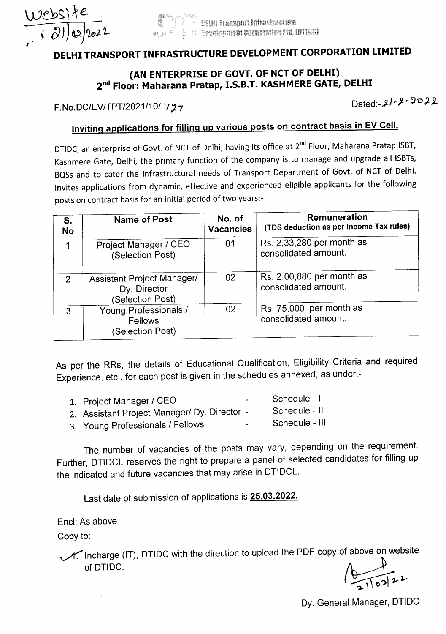



# DELHI TRANSPORT INFRASTRUCTURE DEVELOPMENT CORPORATION LIMITED

### (AN ENTERPRISE OF GOVT. OF NCT OF DELHI) 2<sup>nd</sup> Floor: Maharana Pratap, I.S.B.T. KASHMERE GATE, DELHI

F.No.DC/EV/TPT/2021/10/ 727

Dated:-21-2-2022

### Inviting applications for filling up various posts on contract basis in EV Cell.

DTIDC, an enterprise of Govt. of NCT of Delhi, having its office at 2<sup>nd</sup> Floor, Maharana Pratap ISBT, Kashmere Gate, Delhi, the primary function of the company is to manage and upgrade all ISBTs, BQSs and to cater the Infrastructural needs of Transport Department of Govt. of NCT of Delhi. Invites applications from dynamic, effective and experienced eligible applicants for the following posts on contract basis for an initial period of two years:-

| S.<br><b>No</b> | <b>Name of Post</b>                                            | No. of<br><b>Vacancies</b> | Remuneration<br>(TDS deduction as per Income Tax rules) |
|-----------------|----------------------------------------------------------------|----------------------------|---------------------------------------------------------|
|                 | Project Manager / CEO<br>(Selection Post)                      | 01                         | Rs. 2,33,280 per month as<br>consolidated amount.       |
| 2               | Assistant Project Manager/<br>Dy. Director<br>(Selection Post) | 02                         | Rs. 2,00,880 per month as<br>consolidated amount.       |
| $\mathbf{3}$    | Young Professionals /<br>Fellows<br>(Selection Post)           | 02                         | Rs. 75,000 per month as<br>consolidated amount.         |

As per the RRs, the details of Educational Qualification, Eligibility Criteria and required Experience, etc., for each post is given in the schedules annexed, as under:-

| 1. Project Manager / CEO                     | $\sim$ | Schedule - I   |
|----------------------------------------------|--------|----------------|
| 2. Assistant Project Manager/ Dy. Director - |        | Schedule - II  |
| 3. Young Professionals / Fellows             | $\sim$ | Schedule - III |

The number of vacancies of the posts may vary, depending on the requirement. Further, DTIDCL reserves the right to prepare a panel of selected candidates for filling up the indicated and future vacancies that may arise in DTIDCL.

Last date of submission of applications is 25.03.2022.

Encl: As above

Copy to:

~ Incharge (IT), DTIDC with the direction to upload the PDF copy of above on website of DTIDC.  $\sqrt{2}$ 

 $\frac{1}{\sqrt{2}}$ 

Dy. General Manager, DTIDC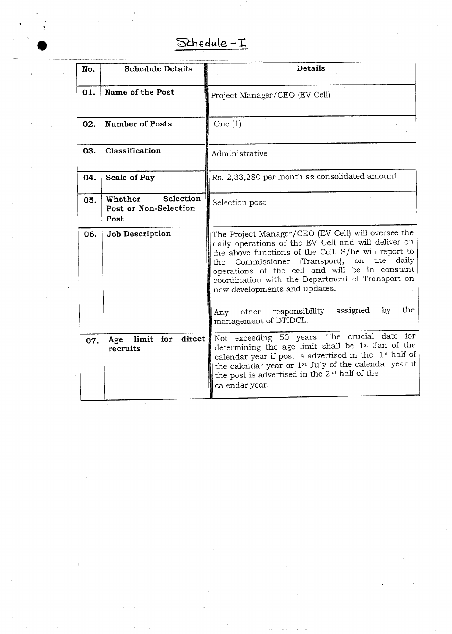# Schedule-I

| No. | <b>Schedule Details</b>                               | <b>Details</b>                                                                                                                                                                                                                                                                                                                                                                                                                                            |
|-----|-------------------------------------------------------|-----------------------------------------------------------------------------------------------------------------------------------------------------------------------------------------------------------------------------------------------------------------------------------------------------------------------------------------------------------------------------------------------------------------------------------------------------------|
| 01. | Name of the Post                                      | Project Manager/CEO (EV Cell)                                                                                                                                                                                                                                                                                                                                                                                                                             |
| 02. | <b>Number of Posts</b>                                | One $(1)$                                                                                                                                                                                                                                                                                                                                                                                                                                                 |
| 03. | Classification                                        | Administrative                                                                                                                                                                                                                                                                                                                                                                                                                                            |
| 04. | Scale of Pay                                          | Rs. 2,33,280 per month as consolidated amount                                                                                                                                                                                                                                                                                                                                                                                                             |
| 05. | Selection<br>Whether<br>Post or Non-Selection<br>Post | Selection post                                                                                                                                                                                                                                                                                                                                                                                                                                            |
| 06. | Job Description                                       | The Project Manager/CEO (EV Cell) will oversee the<br>daily operations of the EV Cell and will deliver on<br>the above functions of the Cell. S/he will report to<br>the<br>daily<br>(Transport),<br>on<br>Commissioner<br>the<br>operations of the cell and will be in constant<br>coordination with the Department of Transport on<br>new developments and updates.<br>the<br>assigned<br>by<br>responsibility<br>other<br>Any<br>management of DTIDCL. |
| 07. | $\bf direct$<br>limit for<br>Age<br>recruits          | Not exceeding 50 years. The crucial date for<br>determining the age limit shall be 1st Jan of the<br>calendar year if post is advertised in the 1st half of<br>the calendar year or 1 <sup>st</sup> July of the calendar year if<br>the post is advertised in the 2 <sup>nd</sup> half of the<br>calendar year.                                                                                                                                           |

 $\bar{I}$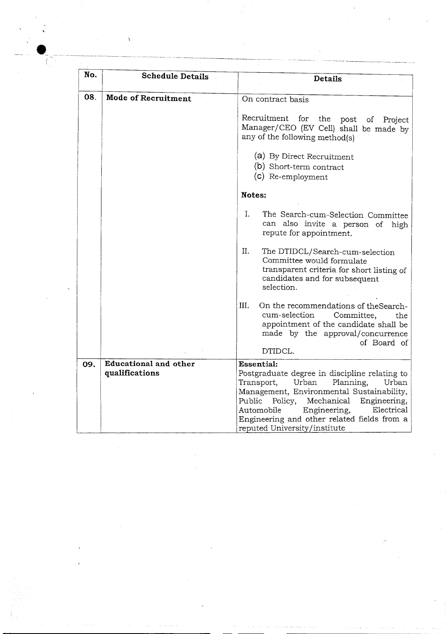| No. | <b>Schedule Details</b>    | Details                                                                                                                                                                                                                                                                               |
|-----|----------------------------|---------------------------------------------------------------------------------------------------------------------------------------------------------------------------------------------------------------------------------------------------------------------------------------|
| 08. | <b>Mode of Recruitment</b> | On contract basis                                                                                                                                                                                                                                                                     |
|     |                            | Recruitment for<br>the<br>post<br>of Project<br>Manager/CEO (EV Cell) shall be made by<br>any of the following method(s)<br>(a) By Direct Recruitment                                                                                                                                 |
|     |                            | (b) Short-term contract<br>(c) Re-employment                                                                                                                                                                                                                                          |
|     |                            | Notes:                                                                                                                                                                                                                                                                                |
|     |                            | Ι.<br>The Search-cum-Selection Committee<br>can also invite a person of<br>high<br>repute for appointment.                                                                                                                                                                            |
|     |                            | Π.<br>The DTIDCL/Search-cum-selection<br>Committee would formulate<br>transparent criteria for short listing of<br>candidates and for subsequent<br>selection.                                                                                                                        |
|     |                            | Ш.<br>On the recommendations of theSearch-<br>cum-selection<br>Committee,<br>the<br>appointment of the candidate shall be<br>made by the approval/concurrence<br>of Board of                                                                                                          |
|     | Educational and other      | DTIDCL.<br><b>Essential:</b>                                                                                                                                                                                                                                                          |
| 09. | qualifications             | Postgraduate degree in discipline relating to<br>Transport,<br>Urban<br>Planning,<br>Urban<br>Management, Environmental Sustainability,<br>Mechanical<br>Public<br>Policy,<br>Engineering,<br>Automobile<br>Engineering,<br>Electrical<br>Engineering and other related fields from a |

**.\_**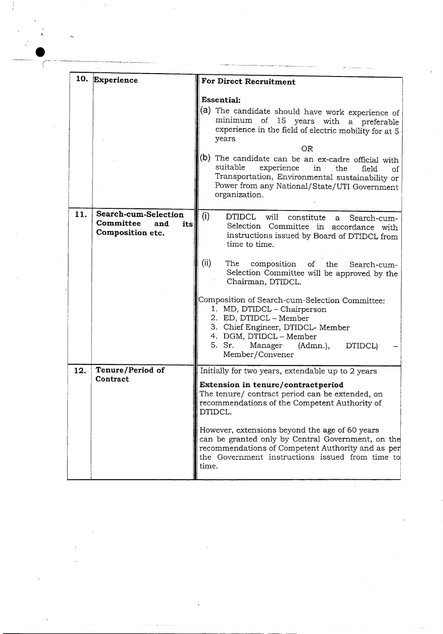|     | 10. Experience                                                      | <b>For Direct Recruitment</b>                                                                                                                                                                                                                                                                                                                                                                                                                                                                                                               |
|-----|---------------------------------------------------------------------|---------------------------------------------------------------------------------------------------------------------------------------------------------------------------------------------------------------------------------------------------------------------------------------------------------------------------------------------------------------------------------------------------------------------------------------------------------------------------------------------------------------------------------------------|
|     |                                                                     | <b>Essential:</b><br>(a) The candidate should have work experience of<br>minimum of 15 years with a preferable<br>experience in the field of electric mobility for at 5<br>years<br>OR.<br>(b)<br>The candidate can be an ex-cadre official with<br>suitable<br>experience<br>in<br>the<br>field<br>of<br>Transportation, Environmental sustainability or<br>Power from any National/State/UTI Government<br>organization.                                                                                                                  |
| 11. | Search-cum-Selection<br>Committee<br>and<br>its<br>Composition etc. | (i)<br>DTIDCL<br>will<br>constitute<br>Search-cum-<br>$\mathbf{a}$<br>Selection Committee in accordance with<br>instructions issued by Board of DTIDCL from<br>time to time.<br>(ii)<br>The<br>composition of the Search-cum-<br>Selection Committee will be approved by the<br>Chairman, DTIDCL.<br>Composition of Search-cum-Selection Committee:<br>1. MD, DTIDCL - Chairperson<br>2. ED, DTIDCL - Member<br>3. Chief Engineer, DTIDCL- Member<br>4. DGM, DTIDCL - Member<br>5. Sr.<br>Manager<br>(Admn.),<br>DTIDCL)<br>Member/Convener |
| 12. | Tenure/Period of<br>Contract                                        | Initially for two years, extendable up to 2 years<br>Extension in tenure/contractperiod<br>The tenure/ contract period can be extended, on<br>recommendations of the Competent Authority of<br>DTIDCL.<br>However, extensions beyond the age of 60 years<br>can be granted only by Central Government, on the<br>recommendations of Competent Authority and as per<br>the Government instructions issued from time to<br>time.                                                                                                              |

 $\ddot{\phantom{0}}$ 

 $\frac{1}{2}$ 

**----------------------------------------------------** ----

 $\sim 6\%$ 

 $\sim 200$ 

 $\overline{\zeta}$ 

 $\label{eq:1} \mathcal{L}=\mathcal{L}(\mathcal{L})\otimes\mathcal{L}(\mathcal{L})$ 

 $\frac{1}{2}$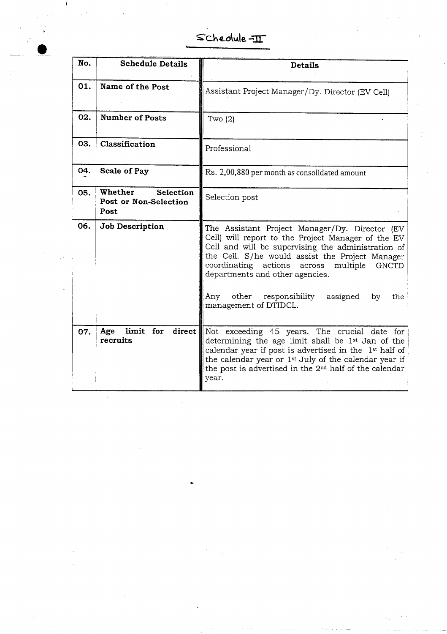$S$ chedule- $\mathbb{I}$ 

| No. | <b>Schedule Details</b>                               | <b>Details</b>                                                                                                                                                                                                                                                                                                  |
|-----|-------------------------------------------------------|-----------------------------------------------------------------------------------------------------------------------------------------------------------------------------------------------------------------------------------------------------------------------------------------------------------------|
| 01. | Name of the Post                                      | Assistant Project Manager/Dy. Director (EV Cell)                                                                                                                                                                                                                                                                |
| 02. | <b>Number of Posts</b>                                | Two $(2)$                                                                                                                                                                                                                                                                                                       |
| 03. | Classification                                        | Professional                                                                                                                                                                                                                                                                                                    |
| 04. | Scale of Pay                                          | Rs. 2,00,880 per month as consolidated amount                                                                                                                                                                                                                                                                   |
| 05. | Whether<br>Selection<br>Post or Non-Selection<br>Post | Selection post                                                                                                                                                                                                                                                                                                  |
| 06. | Job Description                                       | The Assistant Project Manager/Dy. Director (EV<br>Cell) will report to the Project Manager of the EV<br>Cell and will be supervising the administration of<br>the Cell. S/he would assist the Project Manager<br>coordinating actions across<br>multiple<br><b>GNCTD</b><br>departments and other agencies.     |
|     |                                                       | Any<br>other responsibility<br>assigned<br>by<br>the<br>management of DTIDCL.                                                                                                                                                                                                                                   |
| 07. | limit for<br>Age<br>direct<br>recruits                | Not exceeding 45 years. The crucial date for<br>determining the age limit shall be 1st Jan of the<br>calendar year if post is advertised in the 1st half of<br>the calendar year or 1 <sup>st</sup> July of the calendar year if<br>the post is advertised in the 2 <sup>nd</sup> half of the calendar<br>year. |

 $\,$   $\,$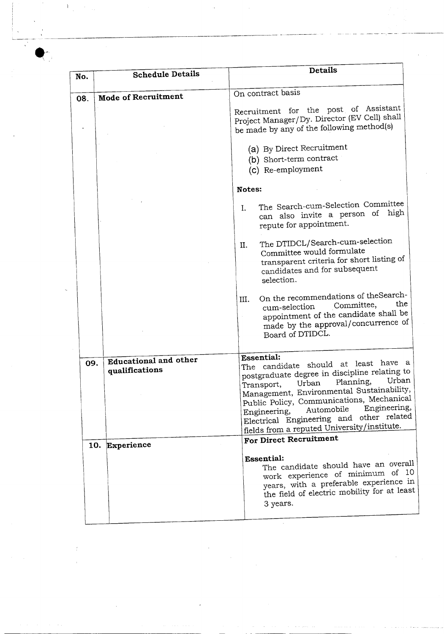| No. | <b>Schedule Details</b>    | Details                                                                                                                                                                                                                                                                                                                                                               |
|-----|----------------------------|-----------------------------------------------------------------------------------------------------------------------------------------------------------------------------------------------------------------------------------------------------------------------------------------------------------------------------------------------------------------------|
| 08. | <b>Mode of Recruitment</b> | On contract basis                                                                                                                                                                                                                                                                                                                                                     |
|     |                            | Recruitment for the post of Assistant<br>Project Manager/Dy. Director (EV Cell) shall<br>be made by any of the following method(s)                                                                                                                                                                                                                                    |
|     |                            | (a) By Direct Recruitment                                                                                                                                                                                                                                                                                                                                             |
|     |                            | (b) Short-term contract                                                                                                                                                                                                                                                                                                                                               |
|     |                            | (c) Re-employment                                                                                                                                                                                                                                                                                                                                                     |
|     |                            | Notes:                                                                                                                                                                                                                                                                                                                                                                |
|     |                            | The Search-cum-Selection Committee<br>L.<br>can also invite a person of high<br>repute for appointment.                                                                                                                                                                                                                                                               |
|     |                            | The DTIDCL/Search-cum-selection<br>Π.<br>Committee would formulate<br>transparent criteria for short listing of<br>candidates and for subsequent<br>selection.                                                                                                                                                                                                        |
|     |                            | On the recommendations of the Search-<br>Ш.<br>the<br>Committee,<br>cum-selection<br>appointment of the candidate shall be<br>made by the approval/concurrence of<br>Board of DTIDCL.                                                                                                                                                                                 |
|     | Educational and other      | Essential:                                                                                                                                                                                                                                                                                                                                                            |
| 09. | qualifications             | The candidate should at least have a<br>postgraduate degree in discipline relating to<br>Urban<br>Planning,<br>Urban<br>Transport,<br>Management, Environmental Sustainability,<br>Public Policy, Communications, Mechanical<br>Engineering,<br>Automobile<br>Engineering,<br>Electrical Engineering and other related<br>fields from a reputed University/institute. |
|     | 10. Experience             | For Direct Recruitment                                                                                                                                                                                                                                                                                                                                                |
|     |                            | <b>Essential:</b><br>The candidate should have an overall<br>work experience of minimum of 10<br>years, with a preferable experience in<br>the field of electric mobility for at least<br>3 years.                                                                                                                                                                    |

 $\bar{V}$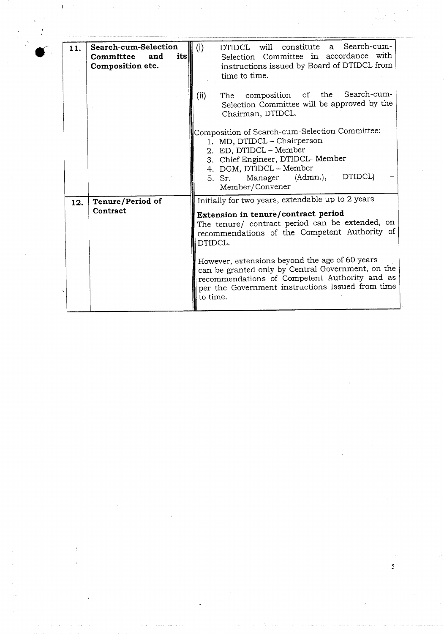| 11. | Search-cum-Selection<br>its<br>Committee<br>and<br>Composition etc. | DTIDCL will constitute a Search-cum-<br>(i)<br>Selection Committee in accordance with<br>instructions issued by Board of DTIDCL from<br>time to time.                                                                                                                                                                                                                                                                           |
|-----|---------------------------------------------------------------------|---------------------------------------------------------------------------------------------------------------------------------------------------------------------------------------------------------------------------------------------------------------------------------------------------------------------------------------------------------------------------------------------------------------------------------|
|     |                                                                     | The composition of the Search-cum-<br>(ii)<br>Selection Committee will be approved by the<br>Chairman, DTIDCL.                                                                                                                                                                                                                                                                                                                  |
|     |                                                                     | Composition of Search-cum-Selection Committee:<br>1. MD, DTIDCL - Chairperson<br>2. ED, DTIDCL - Member<br>3. Chief Engineer, DTIDCL- Member<br>4. DGM, DTIDCL - Member<br>DTIDCL)<br>(Admn.),<br>Manager<br>5. Sr.<br>Member/Convener                                                                                                                                                                                          |
| 12. | Tenure/Period of<br>Contract                                        | Initially for two years, extendable up to 2 years<br>Extension in tenure/contract period<br>The tenure/ contract period can be extended, on<br>recommendations of the Competent Authority of<br>DTIDCL.<br>However, extensions beyond the age of 60 years<br>can be granted only by Central Government, on the<br>recommendations of Competent Authority and as<br>per the Government instructions issued from time<br>to time. |
|     |                                                                     |                                                                                                                                                                                                                                                                                                                                                                                                                                 |

5

**•** 

 $\hat{\mathbf{I}}^{(n)}$  :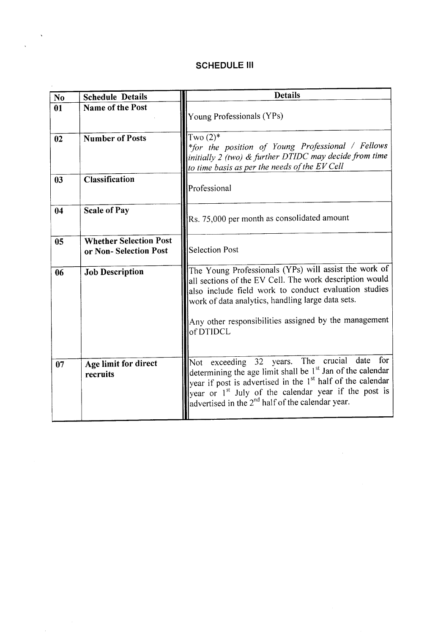### **SCHEDULE III**

 $\mathcal{L}_{\mathcal{A}}$ 

| N <sub>o</sub> | <b>Schedule Details</b>                                | <b>Details</b>                                                                                                                                                                                                                                                                                                                       |
|----------------|--------------------------------------------------------|--------------------------------------------------------------------------------------------------------------------------------------------------------------------------------------------------------------------------------------------------------------------------------------------------------------------------------------|
| 01             | Name of the Post                                       | Young Professionals (YPs)                                                                                                                                                                                                                                                                                                            |
| 02             | <b>Number of Posts</b>                                 | Two $(2)$ <sup>*</sup><br>*for the position of Young Professional / Fellows<br>initially 2 (two) $\&$ further DTIDC may decide from time<br>to time basis as per the needs of the EV Cell                                                                                                                                            |
| 03             | <b>Classification</b>                                  | Professional                                                                                                                                                                                                                                                                                                                         |
| 04             | <b>Scale of Pay</b>                                    | Rs. 75,000 per month as consolidated amount                                                                                                                                                                                                                                                                                          |
| 05             | <b>Whether Selection Post</b><br>or Non-Selection Post | Selection Post                                                                                                                                                                                                                                                                                                                       |
| 06             | <b>Job Description</b>                                 | The Young Professionals (YPs) will assist the work of<br>all sections of the EV Cell. The work description would<br>also include field work to conduct evaluation studies<br>work of data analytics, handling large data sets.                                                                                                       |
|                |                                                        | Any other responsibilities assigned by the management<br>of DTIDCL                                                                                                                                                                                                                                                                   |
| 07             | Age limit for direct<br>recruits                       | Not exceeding 32 years. The crucial date for<br>determining the age limit shall be 1 <sup>st</sup> Jan of the calendar<br>year if post is advertised in the 1 <sup>st</sup> half of the calendar<br>year or 1 <sup>st</sup> July of the calendar year if the post is<br>advertised in the 2 <sup>nd</sup> half of the calendar year. |

 $\mathcal{L}^{\text{max}}_{\text{max}}$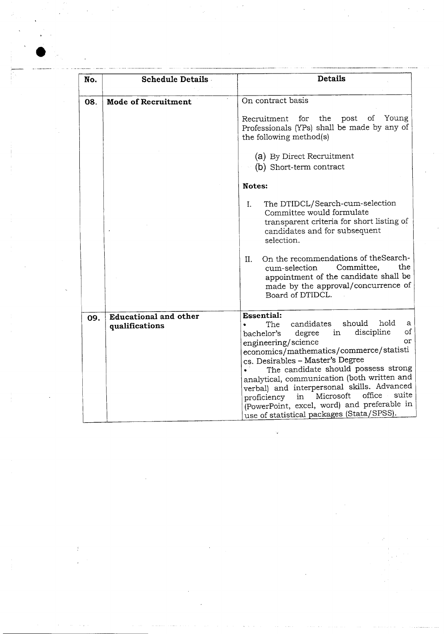| No. | <b>Schedule Details</b>      | <b>Details</b>                                                                                                                                                                                                                                                                                                                                                                                                                                                                                |  |  |
|-----|------------------------------|-----------------------------------------------------------------------------------------------------------------------------------------------------------------------------------------------------------------------------------------------------------------------------------------------------------------------------------------------------------------------------------------------------------------------------------------------------------------------------------------------|--|--|
| 08. | <b>Mode of Recruitment</b>   | On contract basis                                                                                                                                                                                                                                                                                                                                                                                                                                                                             |  |  |
|     |                              | Young<br>the<br>post<br>Recruitment<br>for<br>Οf<br>Professionals (YPs) shall be made by any of<br>the following method(s)                                                                                                                                                                                                                                                                                                                                                                    |  |  |
|     |                              | (a) By Direct Recruitment<br>(b) Short-term contract                                                                                                                                                                                                                                                                                                                                                                                                                                          |  |  |
|     |                              | <b>Notes:</b>                                                                                                                                                                                                                                                                                                                                                                                                                                                                                 |  |  |
|     |                              | The DTIDCL/Search-cum-selection<br>L.<br>Committee would formulate<br>transparent criteria for short listing of<br>candidates and for subsequent<br>selection.                                                                                                                                                                                                                                                                                                                                |  |  |
|     |                              | On the recommendations of the Search-<br>П.<br>the.<br>Committee,<br>cum-selection<br>appointment of the candidate shall be<br>made by the approval/concurrence of<br>Board of DTIDCL.                                                                                                                                                                                                                                                                                                        |  |  |
| 09. | <b>Educational and other</b> | <b>Essential:</b>                                                                                                                                                                                                                                                                                                                                                                                                                                                                             |  |  |
|     | qualifications               | should<br>hold<br>candidates<br>а<br>The .<br>οf<br>discipline<br>in<br>degree<br>bachelor's<br>0r<br>engineering/science<br>economics/mathematics/commerce/statisti<br>cs. Desirables - Master's Degree<br>The candidate should possess strong<br>analytical, communication (both written and<br>verbal) and interpersonal skills. Advanced<br>suite<br>office<br>Microsoft<br>in<br>proficiency<br>(PowerPoint, excel, word) and preferable in<br>use of statistical packages (Stata/SPSS). |  |  |

•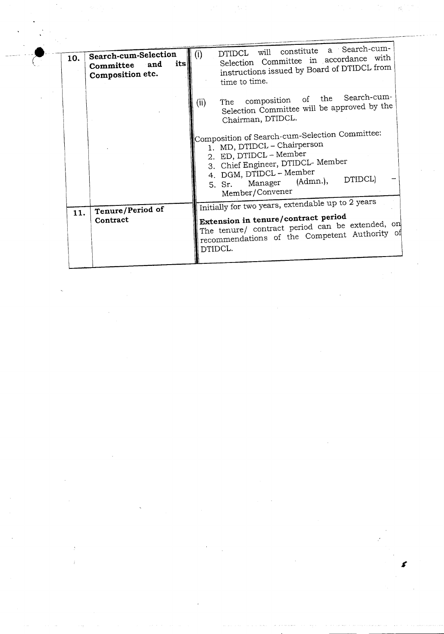| 10. | Search-cum-Selection<br>its<br>and<br>Committee<br>Composition etc. | DTIDCL will constitute a Search-cum-<br>(i)<br>Selection Committee in accordance with<br>instructions issued by Board of DTIDCL from<br>time to time.                                                                               |
|-----|---------------------------------------------------------------------|-------------------------------------------------------------------------------------------------------------------------------------------------------------------------------------------------------------------------------------|
|     |                                                                     | composition of the Search-cum-<br>The<br>(ii)<br>Selection Committee will be approved by the<br>Chairman, DTIDCL.                                                                                                                   |
|     |                                                                     | Composition of Search-cum-Selection Committee:<br>1. MD, DTIDCL - Chairperson<br>2. ED, DTIDCL - Member<br>3. Chief Engineer, DTIDCL- Member<br>4. DGM, DTIDCL - Member<br>DTIDCL)<br>Manager (Admn.),<br>5. Sr.<br>Member/Convener |
| 11. | Tenure/Period of<br>Contract                                        | Initially for two years, extendable up to 2 years<br>Extension in tenure/contract period<br>The tenure/ contract period can be extended, on<br>recommendations of the Competent Authority of<br>DTIDCL.                             |

 $\frac{1}{2} \sum_{i=1}^{2} \frac{1}{2} \sum_{i=1}^{2} \frac{1}{2} \sum_{i=1}^{2} \frac{1}{2} \sum_{i=1}^{2} \frac{1}{2} \sum_{i=1}^{2} \frac{1}{2} \sum_{i=1}^{2} \frac{1}{2} \sum_{i=1}^{2} \frac{1}{2} \sum_{i=1}^{2} \frac{1}{2} \sum_{i=1}^{2} \frac{1}{2} \sum_{i=1}^{2} \frac{1}{2} \sum_{i=1}^{2} \frac{1}{2} \sum_{i=1}^{2} \frac{1}{2} \sum_{i=1}^{2$ 

ija<br>L  $\hat{\mathcal{O}}_i$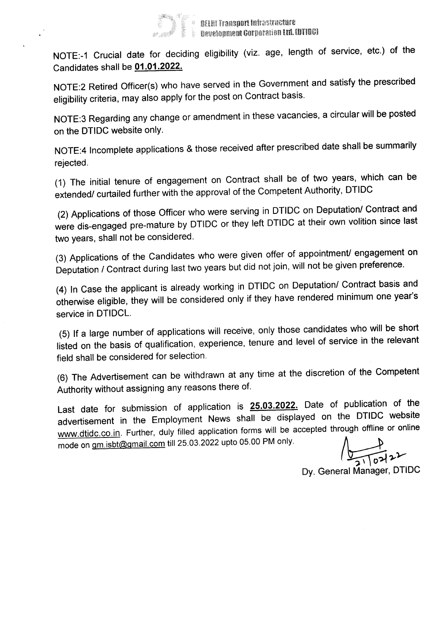

NOTE:-1 Crucial date for deciding eligibility (viz. age, length of service, etc.) of the Candidates shall be 01.01.2022.

NOTE:2 Retired Officer(s) who have served in the Government and satisfy the prescribed eligibility criteria, may also apply for the post on Contract basis.

NOTE:3 Regarding any change or amendment in these vacancies, a circular will be posted on the DTIDC website only.

NOTE:4 Incomplete applications & those received after prescribed date shall be summarily rejected.

(1) The initial tenure of engagement on Contract shall be of two years, which can be extended/ curtailed further with the approval of the Competent Authority, DTIDC

(2) Applications of those Officer who were serving in DTIDC on Deputation/ Contract and were dis-engaged pre-mature by DTIDC or they left DTIDC at their own volition since last two years, shall not be considered.

(3) Applications of the Candidates who were given offer of appointment/ engagement on Deputation / Contract during last two years but did not join, will not be given preference.

(4) In Case the applicant is already working in DTIDC on Deputation/ Contract basis and otherwise eligible, they will be considered only if they have rendered minimum one year's service in DTIDCL.

(5) If a large number of applications will receive, only those candidates who will be short listed on the basis of qualification, experience, tenure and level of service in the relevant field shall be considered for selection.

(6) The Advertisement can be withdrawn at any time at the discretion of the Competent Authority without assigning any reasons there of.

Last date for submission of application is **25.03.2022**. Date of publication of the advertisement in the Employment News shall be displayed on the DTIDC website www.dtidc.co.in. Further, duly filled application forms will be accepted through offline or online advertisement in the Employment News shall be displayed on the DTIDC<br>www.dtidc.co.in. Further, duly filled application forms will be accepted through offline<br>mode on <u>gm.isbt@gmail.com</u> till 25.03.2022 upto 05.00 PM only.

*~').-y*

Dy. General Manager, DTIDC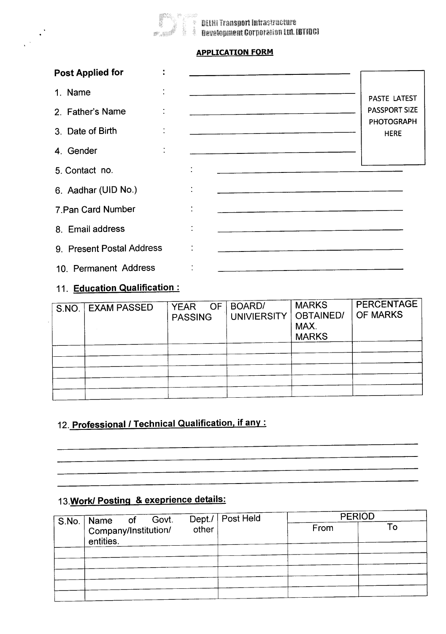

**Example 12**<br>|-<br>|<sup>|</sup>| Development Corporation Ltd. LOTIDG]

### APPLICATION FORM

| <b>Post Applied for</b>   | ÷         |                                                                                                                        |                                  |
|---------------------------|-----------|------------------------------------------------------------------------------------------------------------------------|----------------------------------|
| 1. Name                   |           | <u> 1980 - John Harry Barn, maritan basar menyebarkan basa di pada 2000 menjadi kecamatan basa dalam basa dalam </u>   | PASTE LATEST                     |
| 2. Father's Name          | ÷         |                                                                                                                        | <b>PASSPORT SIZE</b>             |
| 3. Date of Birth          | $\bullet$ |                                                                                                                        | <b>PHOTOGRAPH</b><br><b>HERE</b> |
| 4. Gender                 | $\bullet$ | <u> 1980 - Jan Barnett, mars et al. 1980 - Anna anno 1980 - Anna anno 1980 - Anna anno 1980 - Anna anno 1980 - An</u>  |                                  |
| 5. Contact no.            |           |                                                                                                                        |                                  |
| 6. Aadhar (UID No.)       |           | <u> 1980 - Jan James James James James James James James James James James James James James James James James J</u>   |                                  |
| 7. Pan Card Number        |           | <u> 1980 - Jan James James James James James James James James James James James James James James James James J</u>   |                                  |
| 8. Email address          |           | <u> 1980 - Jan Barnett, amerikan beste beste beste beste beste beste beste beste beste beste beste beste beste b</u>   |                                  |
| 9. Present Postal Address |           | <u> 1980 - Jan James James Bernstein, martin besteht aus der Bernstein und der Bernstein und der Bernstein und der</u> |                                  |
| 10. Permanent Address     |           |                                                                                                                        |                                  |

### 11. Education Qualification:

| S.NO.   EXAM PASSED | <b>OF</b><br>YEAR<br><b>PASSING</b> | BOARD/<br><b>UNIVIERSITY</b> | <b>MARKS</b><br>OBTAINED/<br>MAX.<br><b>MARKS</b> | <b>PERCENTAGE</b><br><b>OF MARKS</b> |
|---------------------|-------------------------------------|------------------------------|---------------------------------------------------|--------------------------------------|
|                     |                                     |                              |                                                   |                                      |
|                     |                                     |                              |                                                   |                                      |
|                     |                                     |                              |                                                   |                                      |
|                     |                                     |                              |                                                   |                                      |
|                     |                                     |                              |                                                   |                                      |

# 12. Professional / Technical Qualification, if any:

## 13. Work/ Posting & exeprience details:

| S.No. Name of Govt.               |       | Dept./   Post Held | <b>PERIOD</b> |    |
|-----------------------------------|-------|--------------------|---------------|----|
| Company/Institution/<br>entities. | other |                    | From          | To |
|                                   |       |                    |               |    |
|                                   |       |                    |               |    |
|                                   |       |                    |               |    |
|                                   |       |                    |               |    |
|                                   |       |                    |               |    |
|                                   |       |                    |               |    |